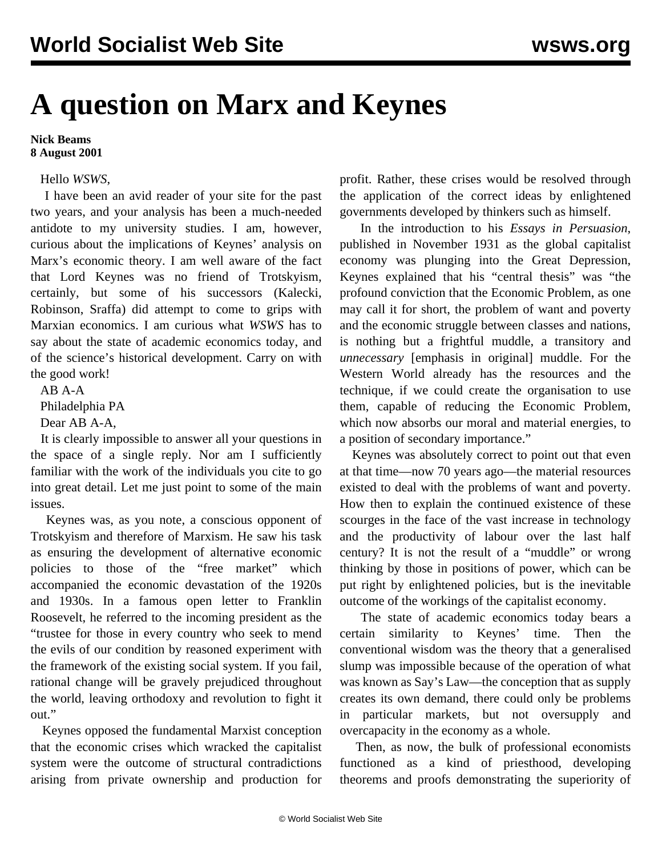## **A question on Marx and Keynes**

## **Nick Beams 8 August 2001**

## Hello *WSWS*,

 I have been an avid reader of your site for the past two years, and your analysis has been a much-needed antidote to my university studies. I am, however, curious about the implications of Keynes' analysis on Marx's economic theory. I am well aware of the fact that Lord Keynes was no friend of Trotskyism, certainly, but some of his successors (Kalecki, Robinson, Sraffa) did attempt to come to grips with Marxian economics. I am curious what *WSWS* has to say about the state of academic economics today, and of the science's historical development. Carry on with the good work!

 AB A-A Philadelphia PA Dear AB A-A,

 It is clearly impossible to answer all your questions in the space of a single reply. Nor am I sufficiently familiar with the work of the individuals you cite to go into great detail. Let me just point to some of the main issues.

 Keynes was, as you note, a conscious opponent of Trotskyism and therefore of Marxism. He saw his task as ensuring the development of alternative economic policies to those of the "free market" which accompanied the economic devastation of the 1920s and 1930s. In a famous open letter to Franklin Roosevelt, he referred to the incoming president as the "trustee for those in every country who seek to mend the evils of our condition by reasoned experiment with the framework of the existing social system. If you fail, rational change will be gravely prejudiced throughout the world, leaving orthodoxy and revolution to fight it out."

 Keynes opposed the fundamental Marxist conception that the economic crises which wracked the capitalist system were the outcome of structural contradictions arising from private ownership and production for profit. Rather, these crises would be resolved through the application of the correct ideas by enlightened governments developed by thinkers such as himself.

 In the introduction to his *Essays in Persuasion*, published in November 1931 as the global capitalist economy was plunging into the Great Depression, Keynes explained that his "central thesis" was "the profound conviction that the Economic Problem, as one may call it for short, the problem of want and poverty and the economic struggle between classes and nations, is nothing but a frightful muddle, a transitory and *unnecessary* [emphasis in original] muddle. For the Western World already has the resources and the technique, if we could create the organisation to use them, capable of reducing the Economic Problem, which now absorbs our moral and material energies, to a position of secondary importance."

 Keynes was absolutely correct to point out that even at that time—now 70 years ago—the material resources existed to deal with the problems of want and poverty. How then to explain the continued existence of these scourges in the face of the vast increase in technology and the productivity of labour over the last half century? It is not the result of a "muddle" or wrong thinking by those in positions of power, which can be put right by enlightened policies, but is the inevitable outcome of the workings of the capitalist economy.

 The state of academic economics today bears a certain similarity to Keynes' time. Then the conventional wisdom was the theory that a generalised slump was impossible because of the operation of what was known as Say's Law—the conception that as supply creates its own demand, there could only be problems in particular markets, but not oversupply and overcapacity in the economy as a whole.

 Then, as now, the bulk of professional economists functioned as a kind of priesthood, developing theorems and proofs demonstrating the superiority of